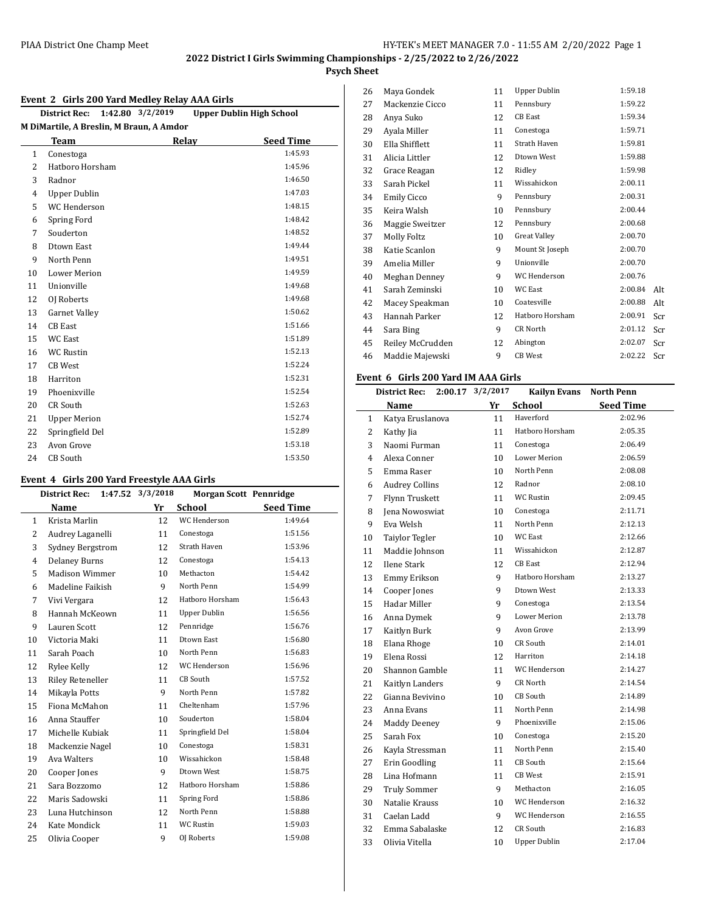## **Psych Sheet**

#### **Event 2 Girls 200 Yard Medley Relay AAA Girls**

|              | 1:42.80 3/2/2019<br><b>Upper Dublin High School</b><br><b>District Rec:</b> |       |  |                  |  |  |  |  |
|--------------|-----------------------------------------------------------------------------|-------|--|------------------|--|--|--|--|
|              | M DiMartile, A Breslin, M Braun, A Amdor                                    |       |  |                  |  |  |  |  |
|              | Team                                                                        | Relay |  | <b>Seed Time</b> |  |  |  |  |
| $\mathbf{1}$ | Conestoga                                                                   |       |  | 1:45.93          |  |  |  |  |
| 2            | Hatboro Horsham                                                             |       |  | 1:45.96          |  |  |  |  |
| 3            | Radnor                                                                      |       |  | 1:46.50          |  |  |  |  |
| 4            | <b>Upper Dublin</b>                                                         |       |  | 1:47.03          |  |  |  |  |
| 5            | WC Henderson                                                                |       |  | 1:48.15          |  |  |  |  |
| 6            | Spring Ford                                                                 |       |  | 1:48.42          |  |  |  |  |
| 7            | Souderton                                                                   |       |  | 1:48.52          |  |  |  |  |
| 8            | <b>Dtown East</b>                                                           |       |  | 1:49.44          |  |  |  |  |
| 9            | North Penn                                                                  |       |  | 1:49.51          |  |  |  |  |
| 10           | <b>Lower Merion</b>                                                         |       |  | 1:49.59          |  |  |  |  |
| 11           | Unionville                                                                  |       |  | 1:49.68          |  |  |  |  |
| 12           | OJ Roberts                                                                  |       |  | 1:49.68          |  |  |  |  |
| 13           | <b>Garnet Valley</b>                                                        |       |  | 1:50.62          |  |  |  |  |
| 14           | <b>CB</b> East                                                              |       |  | 1:51.66          |  |  |  |  |
| 15           | <b>WC</b> East                                                              |       |  | 1:51.89          |  |  |  |  |
| 16           | <b>WC Rustin</b>                                                            |       |  | 1:52.13          |  |  |  |  |
| 17           | <b>CB</b> West                                                              |       |  | 1:52.24          |  |  |  |  |
| 18           | Harriton                                                                    |       |  | 1:52.31          |  |  |  |  |
| 19           | Phoenixville                                                                |       |  | 1:52.54          |  |  |  |  |
| 20           | <b>CR South</b>                                                             |       |  | 1:52.63          |  |  |  |  |
| 21           | <b>Upper Merion</b>                                                         |       |  | 1:52.74          |  |  |  |  |
| 22           | Springfield Del                                                             |       |  | 1:52.89          |  |  |  |  |
| 23           | Avon Grove                                                                  |       |  | 1:53.18          |  |  |  |  |
| 24           | <b>CB</b> South                                                             |       |  | 1:53.50          |  |  |  |  |

#### **Event 4 Girls 200 Yard Freestyle AAA Girls**

|                | <b>District Rec:</b>    | 1:47.52 3/3/2018 | <b>Morgan Scott Pennridge</b> |                  |
|----------------|-------------------------|------------------|-------------------------------|------------------|
|                | Name                    | Yr               | <b>School</b>                 | <b>Seed Time</b> |
| $\mathbf{1}$   | Krista Marlin           | 12               | WC Henderson                  | 1:49.64          |
| 2              | Audrey Laganelli        | 11               | Conestoga                     | 1:51.56          |
| 3              | Sydney Bergstrom        | 12               | <b>Strath Haven</b>           | 1:53.96          |
| $\overline{4}$ | <b>Delaney Burns</b>    | 12               | Conestoga                     | 1:54.13          |
| 5              | Madison Wimmer          | 10               | Methacton                     | 1:54.42          |
| 6              | Madeline Faikish        | 9                | North Penn                    | 1:54.99          |
| 7              | Vivi Vergara            | 12               | Hatboro Horsham               | 1:56.43          |
| 8              | Hannah McKeown          | 11               | <b>Upper Dublin</b>           | 1:56.56          |
| 9              | Lauren Scott            | 12               | Pennridge                     | 1:56.76          |
| 10             | Victoria Maki           | 11               | Dtown East                    | 1:56.80          |
| 11             | Sarah Poach             | 10 <sup>1</sup>  | North Penn                    | 1:56.83          |
| 12             | Rylee Kelly             | 12               | WC Henderson                  | 1:56.96          |
| 13             | <b>Riley Reteneller</b> | 11               | CB South                      | 1:57.52          |
| 14             | Mikayla Potts           | 9                | North Penn                    | 1:57.82          |
| 15             | Fiona McMahon           | 11               | Cheltenham                    | 1:57.96          |
| 16             | Anna Stauffer           | 10               | Souderton                     | 1:58.04          |
| 17             | Michelle Kubiak         | 11               | Springfield Del               | 1:58.04          |
| 18             | Mackenzie Nagel         | 10               | Conestoga                     | 1:58.31          |
| 19             | Ava Walters             | 10 <sup>1</sup>  | Wissahickon                   | 1:58.48          |
| 20             | Cooper Jones            | 9                | Dtown West                    | 1:58.75          |
| 21             | Sara Bozzomo            | 12               | Hatboro Horsham               | 1:58.86          |
| 22             | Maris Sadowski          | 11               | Spring Ford                   | 1:58.86          |
| 23             | Luna Hutchinson         | 12               | North Penn                    | 1:58.88          |
| 24             | Kate Mondick            | 11               | <b>WC Rustin</b>              | 1:59.03          |
| 25             | Olivia Cooper           | 9                | OJ Roberts                    | 1:59.08          |

| 26 | Maya Gondek        | 11 | <b>Upper Dublin</b> | 1:59.18 |     |
|----|--------------------|----|---------------------|---------|-----|
| 27 | Mackenzie Cicco    | 11 | Pennsbury           | 1:59.22 |     |
| 28 | Anya Suko          | 12 | <b>CB</b> East      | 1:59.34 |     |
| 29 | Ayala Miller       | 11 | Conestoga           | 1:59.71 |     |
| 30 | Ella Shifflett     | 11 | Strath Haven        | 1:59.81 |     |
| 31 | Alicia Littler     | 12 | Dtown West          | 1:59.88 |     |
| 32 | Grace Reagan       | 12 | Ridley              | 1:59.98 |     |
| 33 | Sarah Pickel       | 11 | Wissahickon         | 2:00.11 |     |
| 34 | <b>Emily Cicco</b> | 9  | Pennsbury           | 2:00.31 |     |
| 35 | Keira Walsh        | 10 | Pennsbury           | 2:00.44 |     |
| 36 | Maggie Sweitzer    | 12 | Pennsbury           | 2:00.68 |     |
| 37 | Molly Foltz        | 10 | <b>Great Valley</b> | 2:00.70 |     |
| 38 | Katie Scanlon      | 9  | Mount St Joseph     | 2:00.70 |     |
| 39 | Amelia Miller      | 9  | Unionville          | 2:00.70 |     |
| 40 | Meghan Denney      | 9  | WC Henderson        | 2:00.76 |     |
| 41 | Sarah Zeminski     | 10 | <b>WC East</b>      | 2:00.84 | Alt |
| 42 | Macey Speakman     | 10 | Coatesville         | 2:00.88 | Alt |
| 43 | Hannah Parker      | 12 | Hatboro Horsham     | 2:00.91 | Scr |
| 44 | Sara Bing          | 9  | CR North            | 2:01.12 | Scr |
| 45 | Reiley McCrudden   | 12 | Abington            | 2:02.07 | Scr |
| 46 | Maddie Majewski    | 9  | <b>CB</b> West      | 2:02.22 | Scr |
|    |                    |    |                     |         |     |

### **Event 6 Girls 200 Yard IM AAA Girls**

|    | <b>District Rec:</b>  | 2:00.17 | 3/2/2017 | <b>Kailyn Evans</b> | <b>North Penn</b> |
|----|-----------------------|---------|----------|---------------------|-------------------|
|    | Name                  |         | Yr       | <b>School</b>       | <b>Seed Time</b>  |
| 1  | Katya Eruslanova      |         | 11       | Haverford           | 2:02.96           |
| 2  | Kathy Jia             |         | 11       | Hatboro Horsham     | 2:05.35           |
| 3  | Naomi Furman          |         | 11       | Conestoga           | 2:06.49           |
| 4  | Alexa Conner          |         | 10       | <b>Lower Merion</b> | 2:06.59           |
| 5  | Emma Raser            |         | 10       | North Penn          | 2:08.08           |
| 6  | <b>Audrey Collins</b> |         | 12       | Radnor              | 2:08.10           |
| 7  | Flynn Truskett        |         | 11       | <b>WC Rustin</b>    | 2:09.45           |
| 8  | Jena Nowoswiat        |         | 10       | Conestoga           | 2:11.71           |
| 9  | Eva Welsh             |         | 11       | North Penn          | 2:12.13           |
| 10 | <b>Taiylor Tegler</b> |         | 10       | <b>WC East</b>      | 2:12.66           |
| 11 | Maddie Johnson        |         | 11       | Wissahickon         | 2:12.87           |
| 12 | Ilene Stark           |         | 12       | <b>CB</b> East      | 2:12.94           |
| 13 | Emmy Erikson          |         | 9        | Hatboro Horsham     | 2:13.27           |
| 14 | Cooper Jones          |         | 9        | Dtown West          | 2:13.33           |
| 15 | Hadar Miller          |         | 9        | Conestoga           | 2:13.54           |
| 16 | Anna Dymek            |         | 9        | <b>Lower Merion</b> | 2:13.78           |
| 17 | Kaitlyn Burk          |         | 9        | Avon Grove          | 2:13.99           |
| 18 | Elana Rhoge           |         | 10       | CR South            | 2:14.01           |
| 19 | Elena Rossi           |         | 12       | Harriton            | 2:14.18           |
| 20 | Shannon Gamble        |         | 11       | WC Henderson        | 2:14.27           |
| 21 | Kaitlyn Landers       |         | 9        | CR North            | 2:14.54           |
| 22 | Gianna Bevivino       |         | 10       | CB South            | 2:14.89           |
| 23 | Anna Evans            |         | 11       | North Penn          | 2:14.98           |
| 24 | <b>Maddy Deeney</b>   |         | 9        | Phoenixville        | 2:15.06           |
| 25 | Sarah Fox             |         | 10       | Conestoga           | 2:15.20           |
| 26 | Kayla Stressman       |         | 11       | North Penn          | 2:15.40           |
| 27 | Erin Goodling         |         | 11       | CB South            | 2:15.64           |
| 28 | Lina Hofmann          |         | 11       | <b>CB</b> West      | 2:15.91           |
| 29 | <b>Truly Sommer</b>   |         | 9        | Methacton           | 2:16.05           |
| 30 | Natalie Krauss        |         | 10       | WC Henderson        | 2:16.32           |
| 31 | Caelan Ladd           |         | 9        | WC Henderson        | 2:16.55           |
| 32 | Emma Sabalaske        |         | 12       | CR South            | 2:16.83           |
| 33 | Olivia Vitella        |         | 10       | <b>Upper Dublin</b> | 2:17.04           |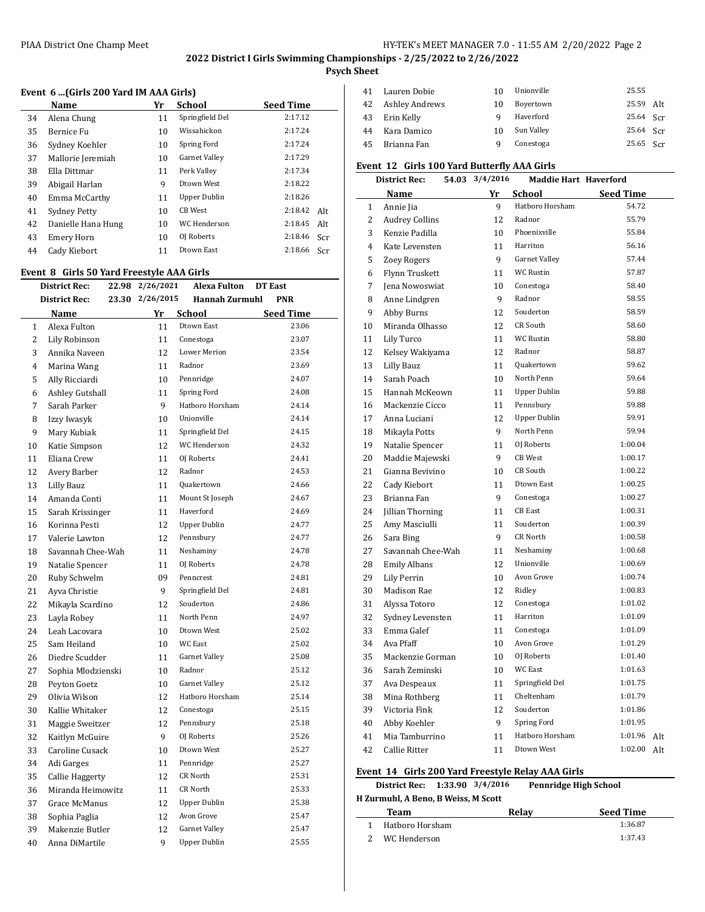### PIAA District One Champ Meet **HY-TEK's MEET MANAGER 7.0 - 11:55 AM 2/20/2022** Page 2

## **2022 District I Girls Swimming Championships - 2/25/2022 to 2/26/2022**

**Psych Sheet**

### **Event 6 ...(Girls 200 Yard IM AAA Girls)**

|    | Name                | Yr | School          | <b>Seed Time</b> |
|----|---------------------|----|-----------------|------------------|
| 34 | Alena Chung         | 11 | Springfield Del | 2:17.12          |
| 35 | Bernice Fu          | 10 | Wissahickon     | 2:17.24          |
| 36 | Sydney Koehler      | 10 | Spring Ford     | 2:17.24          |
| 37 | Mallorie Jeremiah   | 10 | Garnet Valley   | 2:17.29          |
| 38 | Ella Dittmar        | 11 | Perk Valley     | 2:17.34          |
| 39 | Abigail Harlan      | 9  | Dtown West      | 2:18.22          |
| 40 | Emma McCarthy       | 11 | Upper Dublin    | 2:18.26          |
| 41 | <b>Sydney Petty</b> | 10 | CB West         | 2:18.42<br>Alt   |
| 42 | Danielle Hana Hung  | 10 | WC Henderson    | 2:18.45<br>Alt   |
| 43 | Emery Horn          | 10 | OJ Roberts      | 2:18.46<br>Scr   |
| 44 | Cady Kiebort        | 11 | Dtown East      | 2:18.66<br>Scr   |
|    |                     |    |                 |                  |

### **Event 8 Girls 50 Yard Freestyle AAA Girls**

|              | <b>District Rec:</b> |       | 22.98 2/26/2021 | <b>Alexa Fulton</b> | DT East          |
|--------------|----------------------|-------|-----------------|---------------------|------------------|
|              | District Rec:        | 23.30 | 2/26/2015       | Hannah Zurmuhl      | PNR              |
|              | Name                 |       | Yr              | School              | <b>Seed Time</b> |
| $\mathbf{1}$ | Alexa Fulton         |       | 11              | Dtown East          | 23.06            |
| 2            | Lily Robinson        |       | 11              | Conestoga           | 23.07            |
| 3            | Annika Naveen        |       | 12              | Lower Merion        | 23.54            |
| 4            | Marina Wang          |       | 11              | Radnor              | 23.69            |
| 5            | Ally Ricciardi       |       | 10              | Pennridge           | 24.07            |
| 6            | Ashley Gutshall      |       | 11              | Spring Ford         | 24.08            |
| 7            | Sarah Parker         |       | 9               | Hatboro Horsham     | 24.14            |
| 8            | Izzy Iwasyk          |       | 10              | Unionville          | 24.14            |
| 9            | Mary Kubiak          |       | 11              | Springfield Del     | 24.15            |
| 10           | Katie Simpson        |       | 12              | WC Henderson        | 24.32            |
| 11           | Eliana Crew          |       | 11              | OI Roberts          | 24.41            |
| 12           | Avery Barber         |       | 12              | Radnor              | 24.53            |
| 13           | Lilly Bauz           |       | 11              | <b>Quakertown</b>   | 24.66            |
| 14           | Amanda Conti         |       | 11              | Mount St Joseph     | 24.67            |
| 15           | Sarah Krissinger     |       | 11              | Haverford           | 24.69            |
| 16           | Korinna Pesti        |       | 12              | <b>Upper Dublin</b> | 24.77            |
| 17           | Valerie Lawton       |       | 12              | Pennsbury           | 24.77            |
| 18           | Savannah Chee-Wah    |       | 11              | Neshaminy           | 24.78            |
| 19           | Natalie Spencer      |       | 11              | OJ Roberts          | 24.78            |
| 20           | Ruby Schwelm         |       | 09              | Penncrest           | 24.81            |
| 21           | Ayva Christie        |       | 9               | Springfield Del     | 24.81            |
| 22           | Mikayla Scardino     |       | 12              | Souderton           | 24.86            |
| 23           | Layla Robey          |       | 11              | North Penn          | 24.97            |
| 24           | Leah Lacovara        |       | 10 <sup>1</sup> | Dtown West          | 25.02            |
| 25           | Sam Heiland          |       | 10              | WC East             | 25.02            |
| 26           | Diedre Scudder       |       | 11              | Garnet Valley       | 25.08            |
| 27           | Sophia Mlodzienski   |       | 10              | Radnor              | 25.12            |
| 28           | Peyton Goetz         |       | 10              | Garnet Valley       | 25.12            |
| 29           | Olivia Wilson        |       | 12              | Hatboro Horsham     | 25.14            |
| 30           | Kallie Whitaker      |       | 12              | Conestoga           | 25.15            |
| 31           | Maggie Sweitzer      |       | 12              | Pennsbury           | 25.18            |
| 32           | Kaitlyn McGuire      |       | 9               | OJ Roberts          | 25.26            |
| 33           | Caroline Cusack      |       | 10              | Dtown West          | 25.27            |
| 34           | Adi Garges           |       | 11              | Pennridge           | 25.27            |
| 35           | Callie Haggerty      |       | 12              | CR North            | 25.31            |
| 36           | Miranda Heimowitz    |       | 11              | CR North            | 25.33            |
| 37           | Grace McManus        |       | 12              | <b>Upper Dublin</b> | 25.38            |
| 38           | Sophia Paglia        |       | 12              | Avon Grove          | 25.47            |
| 39           | Makenzie Butler      |       | 12              | Garnet Valley       | 25.47            |
| 40           | Anna DiMartile       |       | 9               | <b>Upper Dublin</b> | 25.55            |

| 41 | Lauren Dobie   | 10 | Unionville | 25.55       |  |
|----|----------------|----|------------|-------------|--|
| 42 | Ashley Andrews | 10 | Boyertown  | 25.59 Alt   |  |
| 43 | Erin Kelly     | a  | Haverford  | 25.64 Scr   |  |
| 44 | Kara Damico    | 10 | Sun Valley | $25.64$ Scr |  |
| 45 | Brianna Fan    | q  | Conestoga  | 25.65 Scr   |  |

## **Event 12 Girls 100 Yard Butterfly AAA Girls**

|                | District Rec:<br>54.03 | 3/4/2016 | <b>Maddie Hart Haverford</b> |                  |     |
|----------------|------------------------|----------|------------------------------|------------------|-----|
|                | Name                   | Yr       | School                       | <b>Seed Time</b> |     |
| $\mathbf{1}$   | Annie Jia              | 9        | Hatboro Horsham              | 54.72            |     |
| 2              | <b>Audrey Collins</b>  | 12       | Radnor                       | 55.79            |     |
| 3              | Kenzie Padilla         | 10       | Phoenixville                 | 55.84            |     |
| $\overline{4}$ | Kate Levensten         | 11       | Harriton                     | 56.16            |     |
| 5              | <b>Zoey Rogers</b>     | 9        | Garnet Valley                | 57.44            |     |
| 6              | Flynn Truskett         | 11       | WC Rustin                    | 57.87            |     |
| $\overline{7}$ | Jena Nowoswiat         | 10       | Conestoga                    | 58.40            |     |
| 8              | Anne Lindgren          | 9        | Radnor                       | 58.55            |     |
| 9              | Abby Burns             | 12       | Souderton                    | 58.59            |     |
| 10             | Miranda Olhasso        | 12       | <b>CR South</b>              | 58.60            |     |
| 11             | Lily Turco             | 11       | WC Rustin                    | 58.80            |     |
| 12             | Kelsey Wakiyama        | 12       | Radnor                       | 58.87            |     |
| 13             | Lilly Bauz             | 11       | Quakertown                   | 59.62            |     |
| 14             | Sarah Poach            | 10       | North Penn                   | 59.64            |     |
| 15             | Hannah McKeown         | 11       | <b>Upper Dublin</b>          | 59.88            |     |
| 16             | Mackenzie Cicco        | 11       | Pennsbury                    | 59.88            |     |
| 17             | Anna Luciani           | 12       | <b>Upper Dublin</b>          | 59.91            |     |
| 18             | Mikayla Potts          | 9        | North Penn                   | 59.94            |     |
| 19             | Natalie Spencer        | 11       | OJ Roberts                   | 1:00.04          |     |
| 20             | Maddie Majewski        | 9        | <b>CB</b> West               | 1:00.17          |     |
| 21             | Gianna Bevivino        | 10       | CB South                     | 1:00.22          |     |
| 22             | Cady Kiebort           | 11       | Dtown East                   | 1:00.25          |     |
| 23             | Brianna Fan            | 9        | Conestoga                    | 1:00.27          |     |
| 24             | Jillian Thorning       | 11       | <b>CB</b> East               | 1:00.31          |     |
| 25             | Amy Masciulli          | 11       | Souderton                    | 1:00.39          |     |
| 26             | Sara Bing              | 9        | CR North                     | 1:00.58          |     |
| 27             | Savannah Chee-Wah      | 11       | Neshaminy                    | 1:00.68          |     |
| 28             | <b>Emily Albans</b>    | 12       | Unionville                   | 1:00.69          |     |
| 29             | <b>Lily Perrin</b>     | 10       | Avon Grove                   | 1:00.74          |     |
| 30             | Madison Rae            | 12       | Ridley                       | 1:00.83          |     |
| 31             | Alyssa Totoro          | 12       | Conestoga                    | 1:01.02          |     |
| 32             | Sydney Levensten       | 11       | Harriton                     | 1:01.09          |     |
| 33             | Emma Galef             | 11       | Conestoga                    | 1:01.09          |     |
| 34             | Ava Pfaff              | 10       | Avon Grove                   | 1:01.29          |     |
| 35             | Mackenzie Gorman       | 10       | OJ Roberts                   | 1:01.40          |     |
| 36             | Sarah Zeminski         | 10       | <b>WC</b> East               | 1:01.63          |     |
| 37             | Ava Despeaux           | 11       | Springfield Del              | 1:01.75          |     |
| 38             | Mina Rothberg          | 11       | Cheltenham                   | 1:01.79          |     |
| 39             | Victoria Fink          | 12       | Souderton                    | 1:01.86          |     |
| 40             | Abby Koehler           | 9        | Spring Ford                  | 1:01.95          |     |
| 41             | Mia Tamburrino         | 11       | Hatboro Horsham              | 1:01.96          | Alt |
| 42             | Callie Ritter          | 11       | Dtown West                   | 1:02.00          | Alt |
|                |                        |          |                              |                  |     |

### **Event 14 Girls 200 Yard Freestyle Relay AAA Girls**

|                                     | District Rec: 1:33.90 3/4/2016 |  |  |       | <b>Pennridge High School</b> |  |  |
|-------------------------------------|--------------------------------|--|--|-------|------------------------------|--|--|
| H Zurmuhl, A Beno, B Weiss, M Scott |                                |  |  |       |                              |  |  |
|                                     | Team                           |  |  | Relav | <b>Seed Time</b>             |  |  |
|                                     | Hatboro Horsham                |  |  |       | 1:36.87                      |  |  |
|                                     | WC Henderson                   |  |  |       | 1:37.43                      |  |  |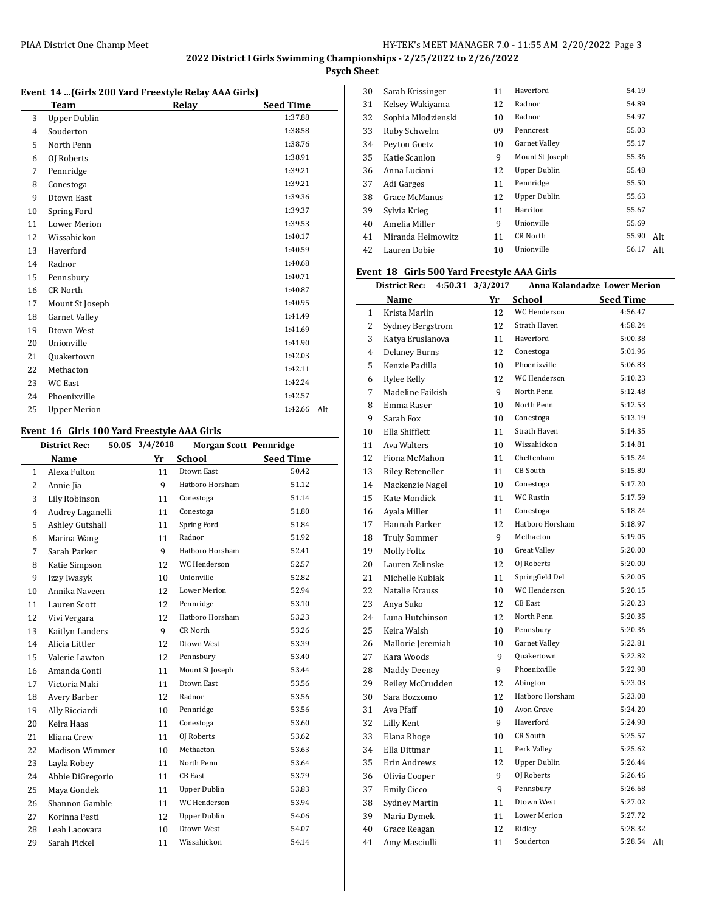## **Psych Sheet**

#### **Event 14 ...(Girls 200 Yard Freestyle Relay AAA Girls)**

|    | <b>Team</b>         | Relay | <b>Seed Time</b> |
|----|---------------------|-------|------------------|
| 3  | <b>Upper Dublin</b> |       | 1:37.88          |
| 4  | Souderton           |       | 1:38.58          |
| 5  | North Penn          |       | 1:38.76          |
| 6  | OJ Roberts          |       | 1:38.91          |
| 7  | Pennridge           |       | 1:39.21          |
| 8  | Conestoga           |       | 1:39.21          |
| 9  | Dtown East          |       | 1:39.36          |
| 10 | Spring Ford         |       | 1:39.37          |
| 11 | <b>Lower Merion</b> |       | 1:39.53          |
| 12 | Wissahickon         |       | 1:40.17          |
| 13 | Haverford           |       | 1:40.59          |
| 14 | Radnor              |       | 1:40.68          |
| 15 | Pennsbury           |       | 1:40.71          |
| 16 | <b>CR</b> North     |       | 1:40.87          |
| 17 | Mount St Joseph     |       | 1:40.95          |
| 18 | Garnet Valley       |       | 1:41.49          |
| 19 | Dtown West          |       | 1:41.69          |
| 20 | Unionville          |       | 1:41.90          |
| 21 | Quakertown          |       | 1:42.03          |
| 22 | Methacton           |       | 1:42.11          |
| 23 | <b>WC</b> East      |       | 1:42.24          |
| 24 | Phoenixville        |       | 1:42.57          |
| 25 | <b>Upper Merion</b> |       | 1:42.66<br>Alt   |

### **Event 16 Girls 100 Yard Freestyle AAA Girls**

|                | <b>District Rec:</b><br>50.05 | 3/4/2018        | <b>Morgan Scott Pennridge</b> |                  |
|----------------|-------------------------------|-----------------|-------------------------------|------------------|
|                | <b>Name</b>                   | Yr              | <b>School</b>                 | <b>Seed Time</b> |
| 1              | Alexa Fulton                  | 11              | <b>Dtown East</b>             | 50.42            |
| 2              | Annie Jia                     | 9               | Hatboro Horsham               | 51.12            |
| 3              | Lily Robinson                 | 11              | Conestoga                     | 51.14            |
| $\overline{4}$ | Audrey Laganelli              | 11              | Conestoga                     | 51.80            |
| 5              | Ashley Gutshall               | 11              | Spring Ford                   | 51.84            |
| 6              | Marina Wang                   | 11              | Radnor                        | 51.92            |
| 7              | Sarah Parker                  | 9               | Hatboro Horsham               | 52.41            |
| 8              | Katie Simpson                 | 12              | WC Henderson                  | 52.57            |
| 9              | Izzy Iwasyk                   | 10 <sup>1</sup> | Unionville                    | 52.82            |
| 10             | Annika Naveen                 | 12              | <b>Lower Merion</b>           | 52.94            |
| 11             | Lauren Scott                  | 12              | Pennridge                     | 53.10            |
| 12             | Vivi Vergara                  | 12              | Hatboro Horsham               | 53.23            |
| 13             | Kaitlyn Landers               | 9               | CR North                      | 53.26            |
| 14             | Alicia Littler                | 12              | Dtown West                    | 53.39            |
| 15             | Valerie Lawton                | 12              | Pennsbury                     | 53.40            |
| 16             | Amanda Conti                  | 11              | Mount St Joseph               | 53.44            |
| 17             | Victoria Maki                 | 11              | Dtown East                    | 53.56            |
| 18             | Avery Barber                  | 12              | Radnor                        | 53.56            |
| 19             | Ally Ricciardi                | 10 <sup>1</sup> | Pennridge                     | 53.56            |
| 20             | Keira Haas                    | 11              | Conestoga                     | 53.60            |
| 21             | Eliana Crew                   | 11              | OJ Roberts                    | 53.62            |
| 22             | <b>Madison Wimmer</b>         | 10              | Methacton                     | 53.63            |
| 23             | Layla Robey                   | 11              | North Penn                    | 53.64            |
| 24             | Abbie DiGregorio              | 11              | <b>CB</b> East                | 53.79            |
| 25             | Maya Gondek                   | 11              | <b>Upper Dublin</b>           | 53.83            |
| 26             | Shannon Gamble                | 11              | WC Henderson                  | 53.94            |
| 27             | Korinna Pesti                 | 12              | <b>Upper Dublin</b>           | 54.06            |
| 28             | Leah Lacovara                 | 10              | Dtown West                    | 54.07            |
| 29             | Sarah Pickel                  | 11              | Wissahickon                   | 54.14            |
|                |                               |                 |                               |                  |

| 30 | Sarah Krissinger   | 11 | Haverford            | 54.19 |     |
|----|--------------------|----|----------------------|-------|-----|
| 31 | Kelsey Wakiyama    | 12 | Radnor               | 54.89 |     |
| 32 | Sophia Mlodzienski | 10 | Radnor               | 54.97 |     |
| 33 | Ruby Schwelm       | 09 | Penncrest            | 55.03 |     |
| 34 | Peyton Goetz       | 10 | <b>Garnet Valley</b> | 55.17 |     |
| 35 | Katie Scanlon      | 9  | Mount St Joseph      | 55.36 |     |
| 36 | Anna Luciani       | 12 | Upper Dublin         | 55.48 |     |
| 37 | Adi Garges         | 11 | Pennridge            | 55.50 |     |
| 38 | Grace McManus      | 12 | Upper Dublin         | 55.63 |     |
| 39 | Sylvia Krieg       | 11 | Harriton             | 55.67 |     |
| 40 | Amelia Miller      | 9  | Unionville           | 55.69 |     |
| 41 | Miranda Heimowitz  | 11 | <b>CR North</b>      | 55.90 | Alt |
| 42 | Lauren Dobie       | 10 | Unionville           | 56.17 | Alt |

### **Event 18 Girls 500 Yard Freestyle AAA Girls**

|                | District Rec:           | 4:50.31 3/3/2017 |                     | Anna Kalandadze Lower Merion |
|----------------|-------------------------|------------------|---------------------|------------------------------|
|                | Name                    | Yr               | School              | <b>Seed Time</b>             |
| $\mathbf{1}$   | Krista Marlin           | 12               | <b>WC</b> Henderson | 4:56.47                      |
| 2              | Sydney Bergstrom        | 12               | Strath Haven        | 4:58.24                      |
| 3              | Katya Eruslanova        | 11               | Haverford           | 5:00.38                      |
| $\overline{4}$ | <b>Delaney Burns</b>    | 12               | Conestoga           | 5:01.96                      |
| 5              | Kenzie Padilla          | 10               | Phoenixville        | 5:06.83                      |
| 6              | Rylee Kelly             | 12               | <b>WC</b> Henderson | 5:10.23                      |
| 7              | Madeline Faikish        | 9                | North Penn          | 5:12.48                      |
| 8              | Emma Raser              | 10               | North Penn          | 5:12.53                      |
| 9              | Sarah Fox               | 10 <sup>1</sup>  | Conestoga           | 5:13.19                      |
| 10             | Ella Shifflett          | 11               | <b>Strath Haven</b> | 5:14.35                      |
| 11             | Ava Walters             | 10               | Wissahickon         | 5:14.81                      |
| 12             | Fiona McMahon           | 11               | Cheltenham          | 5:15.24                      |
| 13             | <b>Riley Reteneller</b> | 11               | CB South            | 5:15.80                      |
| 14             | Mackenzie Nagel         | 10               | Conestoga           | 5:17.20                      |
| 15             | Kate Mondick            | 11               | WC Rustin           | 5:17.59                      |
| 16             | Ayala Miller            | 11               | Conestoga           | 5:18.24                      |
| 17             | Hannah Parker           | 12               | Hatboro Horsham     | 5:18.97                      |
| 18             | <b>Truly Sommer</b>     | 9                | Methacton           | 5:19.05                      |
| 19             | <b>Molly Foltz</b>      | 10               | <b>Great Valley</b> | 5:20.00                      |
| 20             | Lauren Zelinske         | 12               | OJ Roberts          | 5:20.00                      |
| 21             | Michelle Kubiak         | 11               | Springfield Del     | 5:20.05                      |
| 22             | Natalie Krauss          | 10               | WC Henderson        | 5:20.15                      |
| 23             | Anya Suko               | 12               | CB East             | 5:20.23                      |
| 24             | Luna Hutchinson         | 12               | North Penn          | 5:20.35                      |
| 25             | Keira Walsh             | 10               | Pennsbury           | 5:20.36                      |
| 26             | Mallorie Jeremiah       | 10               | Garnet Valley       | 5:22.81                      |
| 27             | Kara Woods              | 9                | Quakertown          | 5:22.82                      |
| 28             | <b>Maddy Deeney</b>     | 9                | Phoenixville        | 5:22.98                      |
| 29             | Reiley McCrudden        | 12               | Abington            | 5:23.03                      |
| 30             | Sara Bozzomo            | 12               | Hatboro Horsham     | 5:23.08                      |
| 31             | Ava Pfaff               | 10               | Avon Grove          | 5:24.20                      |
| 32             | Lilly Kent              | 9                | Haverford           | 5:24.98                      |
| 33             | Elana Rhoge             | 10               | CR South            | 5:25.57                      |
| 34             | Ella Dittmar            | 11               | Perk Valley         | 5:25.62                      |
| 35             | Erin Andrews            | 12               | <b>Upper Dublin</b> | 5:26.44                      |
| 36             | Olivia Cooper           | 9                | OJ Roberts          | 5:26.46                      |
| 37             | <b>Emily Cicco</b>      | 9                | Pennsbury           | 5:26.68                      |
| 38             | Sydney Martin           | 11               | Dtown West          | 5:27.02                      |
| 39             | Maria Dymek             | 11               | <b>Lower Merion</b> | 5:27.72                      |
| 40             | Grace Reagan            | 12               | Ridley              | 5:28.32                      |
| 41             | Amy Masciulli           | 11               | Souderton           | 5:28.54<br>Alt.              |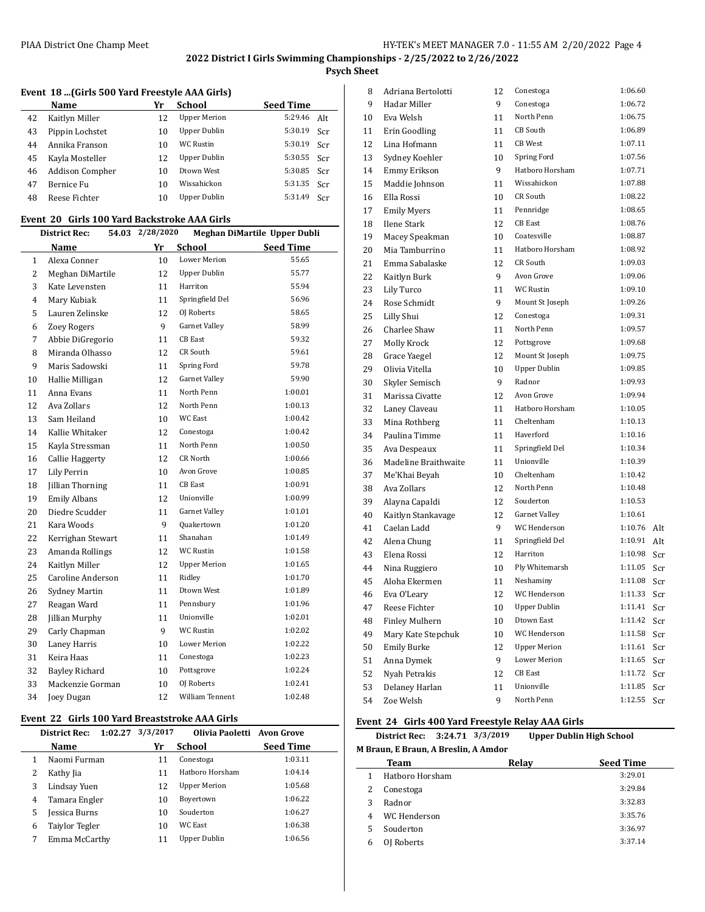**Psych Sheet**

|  |  |  | Event 18 (Girls 500 Yard Freestyle AAA Girls) |  |
|--|--|--|-----------------------------------------------|--|
|--|--|--|-----------------------------------------------|--|

|    | Name                   | Yr | <b>School</b>       | <b>Seed Time</b> |     |
|----|------------------------|----|---------------------|------------------|-----|
| 42 | Kaitlyn Miller         | 12 | <b>Upper Merion</b> | 5:29.46          | Alt |
| 43 | Pippin Lochstet        | 10 | <b>Upper Dublin</b> | 5:30.19          | Scr |
| 44 | Annika Franson         | 10 | <b>WC Rustin</b>    | 5:30.19          | Scr |
| 45 | Kayla Mosteller        | 12 | Upper Dublin        | 5:30.55          | Scr |
| 46 | <b>Addison Compher</b> | 10 | Dtown West          | 5:30.85          | Scr |
| 47 | Bernice Fu             | 10 | Wissahickon         | 5:31.35          | Scr |
| 48 | Reese Fichter          | 10 | Upper Dublin        | 5:31.49          | Scr |

#### **Event 20 Girls 100 Yard Backstroke AAA Girls**

| <b>District Rec:</b> |                        | 54.03 2/28/2020 |                        | Meghan DiMartile Upper Dubli |
|----------------------|------------------------|-----------------|------------------------|------------------------------|
|                      | Name                   | Yr              | School                 | <b>Seed Time</b>             |
| $\mathbf{1}$         | Alexa Conner           | 10              | <b>Lower Merion</b>    | 55.65                        |
| $\overline{2}$       | Meghan DiMartile       | 12              | Upper Dublin           | 55.77                        |
| 3                    | Kate Levensten         | 11              | Harriton               | 55.94                        |
| 4                    | Mary Kubiak            | 11              | Springfield Del        | 56.96                        |
| 5                    | Lauren Zelinske        | 12              | OJ Roberts             | 58.65                        |
| 6                    | <b>Zoey Rogers</b>     | 9               | Garnet Valley          | 58.99                        |
| 7                    | Abbie DiGregorio       | 11              | <b>CB</b> East         | 59.32                        |
| 8                    | Miranda Olhasso        | 12              | CR South               | 59.61                        |
| 9                    | Maris Sadowski         | 11              | Spring Ford            | 59.78                        |
| 10                   | Hallie Milligan        | 12              | Garnet Valley          | 59.90                        |
| 11                   | Anna Evans             | 11              | North Penn             | 1:00.01                      |
| 12                   | Ava Zollars            | 12              | North Penn             | 1:00.13                      |
| 13                   | Sam Heiland            | 10              | <b>WC East</b>         | 1:00.42                      |
| 14                   | Kallie Whitaker        | 12              | Conestoga              | 1:00.42                      |
| 15                   | Kayla Stressman        | 11              | North Penn             | 1:00.50                      |
| 16                   | <b>Callie Haggerty</b> | 12              | CR North               | 1:00.66                      |
| 17                   | Lily Perrin            | 10              | Avon Grove             | 1:00.85                      |
| 18                   | Jillian Thorning       | 11              | <b>CB</b> East         | 1:00.91                      |
| 19                   | <b>Emily Albans</b>    | 12              | Unionville             | 1:00.99                      |
| 20                   | Diedre Scudder         | 11              | Garnet Valley          | 1:01.01                      |
| 21                   | Kara Woods             | 9               | <b>Quakertown</b>      | 1:01.20                      |
| 22                   | Kerrighan Stewart      | 11              | Shanahan               | 1:01.49                      |
| 23                   | Amanda Rollings        | 12              | <b>WC Rustin</b>       | 1:01.58                      |
| 24                   | Kaitlyn Miller         | 12              | <b>Upper Merion</b>    | 1:01.65                      |
| 25                   | Caroline Anderson      | 11              | Ridley                 | 1:01.70                      |
| 26                   | Sydney Martin          | 11              | Dtown West             | 1:01.89                      |
| 27                   | Reagan Ward            | 11              | Pennsbury              | 1:01.96                      |
| 28                   | Jillian Murphy         | 11              | Unionville             | 1:02.01                      |
| 29                   | Carly Chapman          | 9               | <b>WC Rustin</b>       | 1:02.02                      |
| 30                   | Laney Harris           | 10              | Lower Merion           | 1:02.22                      |
| 31                   | Keira Haas             | 11              | Conestoga              | 1:02.23                      |
| 32                   | <b>Bayley Richard</b>  | 10              | Pottsgrove             | 1:02.24                      |
| 33                   | Mackenzie Gorman       | 10              | OJ Roberts             | 1:02.41                      |
| 34                   | Joey Dugan             | 12              | <b>William Tennent</b> | 1:02.48                      |

#### **Event 22 Girls 100 Yard Breaststroke AAA Girls**

|   | <b>District Rec:</b> | $1:02.27$ $3/3/2017$ | Olivia Paoletti Avon Grove |                  |
|---|----------------------|----------------------|----------------------------|------------------|
|   | Name                 | Yr                   | School                     | <b>Seed Time</b> |
|   | Naomi Furman         | 11                   | Conestoga                  | 1:03.11          |
|   | Kathy Jia            | 11                   | Hathoro Horsham            | 1:04.14          |
| 3 | Lindsay Yuen         | 12                   | <b>Upper Merion</b>        | 1:05.68          |
| 4 | Tamara Engler        | 10                   | Boyertown                  | 1:06.22          |
| 5 | Jessica Burns        | 10                   | Souderton                  | 1:06.27          |
| 6 | Taiylor Tegler       | 10                   | WC East                    | 1:06.38          |
|   | Emma McCarthy        | 11                   | Upper Dublin               | 1:06.56          |

| 8  | Adriana Bertolotti    | 12 | Conestoga           | 1:06.60 |     |
|----|-----------------------|----|---------------------|---------|-----|
| 9  | Hadar Miller          | 9  | Conestoga           | 1:06.72 |     |
| 10 | Eva Welsh             | 11 | North Penn          | 1:06.75 |     |
| 11 | Erin Goodling         | 11 | CB South            | 1:06.89 |     |
| 12 | Lina Hofmann          | 11 | <b>CB</b> West      | 1:07.11 |     |
| 13 | Sydney Koehler        | 10 | Spring Ford         | 1:07.56 |     |
| 14 | Emmy Erikson          | 9  | Hatboro Horsham     | 1:07.71 |     |
| 15 | Maddie Johnson        | 11 | Wissahickon         | 1:07.88 |     |
| 16 | Ella Rossi            | 10 | CR South            | 1:08.22 |     |
| 17 | <b>Emily Myers</b>    | 11 | Pennridge           | 1:08.65 |     |
| 18 | <b>Ilene Stark</b>    | 12 | <b>CB</b> East      | 1:08.76 |     |
| 19 | Macey Speakman        | 10 | Coatesville         | 1:08.87 |     |
| 20 | Mia Tamburrino        | 11 | Hatboro Horsham     | 1:08.92 |     |
| 21 | Emma Sabalaske        | 12 | CR South            | 1:09.03 |     |
| 22 | Kaitlyn Burk          | 9  | Avon Grove          | 1:09.06 |     |
| 23 | Lily Turco            | 11 | WC Rustin           | 1:09.10 |     |
| 24 | Rose Schmidt          | 9  | Mount St Joseph     | 1:09.26 |     |
| 25 | Lilly Shui            | 12 | Conestoga           | 1:09.31 |     |
| 26 | Charlee Shaw          | 11 | North Penn          | 1:09.57 |     |
| 27 | Molly Krock           | 12 | Pottsgrove          | 1:09.68 |     |
| 28 | Grace Yaegel          | 12 | Mount St Joseph     | 1:09.75 |     |
| 29 | Olivia Vitella        | 10 | <b>Upper Dublin</b> | 1:09.85 |     |
| 30 | Skyler Semisch        | 9  | Radnor              | 1:09.93 |     |
| 31 | Marissa Civatte       | 12 | Avon Grove          | 1:09.94 |     |
| 32 | Laney Claveau         | 11 | Hatboro Horsham     | 1:10.05 |     |
| 33 | Mina Rothberg         | 11 | Cheltenham          | 1:10.13 |     |
| 34 | Paulina Timme         | 11 | Haverford           | 1:10.16 |     |
| 35 | Ava Despeaux          | 11 | Springfield Del     | 1:10.34 |     |
| 36 | Madeline Braithwaite  | 11 | Unionville          | 1:10.39 |     |
| 37 | Me'Khai Beyah         | 10 | Cheltenham          | 1:10.42 |     |
| 38 | Ava Zollars           | 12 | North Penn          | 1:10.48 |     |
| 39 | Alayna Capaldi        | 12 | Souderton           | 1:10.53 |     |
| 40 | Kaitlyn Stankavage    | 12 | Garnet Valley       | 1:10.61 |     |
| 41 | Caelan Ladd           | 9  | WC Henderson        | 1:10.76 | Alt |
| 42 | Alena Chung           | 11 | Springfield Del     | 1:10.91 | Alt |
| 43 | Elena Rossi           | 12 | Harriton            | 1:10.98 | Scr |
| 44 | Nina Ruggiero         | 10 | Ply Whitemarsh      | 1:11.05 | Scr |
| 45 | Aloha Ekermen         | 11 | Neshaminy           | 1:11.08 | Scr |
| 46 | Eva O'Leary           | 12 | WC Henderson        | 1:11.33 | Scr |
| 47 | Reese Fichter         | 10 | <b>Upper Dublin</b> | 1:11.41 | Scr |
| 48 | <b>Finley Mulhern</b> | 10 | Dtown East          | 1:11.42 | Scr |
| 49 | Mary Kate Stepchuk    | 10 | WC Henderson        | 1:11.58 | Scr |
| 50 | <b>Emily Burke</b>    | 12 | <b>Upper Merion</b> | 1:11.61 | Scr |
| 51 | Anna Dymek            | 9  | Lower Merion        | 1:11.65 | Scr |
| 52 | Nyah Petrakis         | 12 | CB East             | 1:11.72 | Scr |
| 53 | Delaney Harlan        | 11 | Unionville          | 1:11.85 | Scr |
| 54 | Zoe Welsh             | 9  | North Penn          | 1:12.55 | Scr |

## **Event 24 Girls 400 Yard Freestyle Relay AAA Girls**

 $\overline{\phantom{a}}$ 

#### **District Rec: 3:24.71 3/3/2019 Upper Dublin High School M Braun, E Braun, A Breslin, A Amdor**

|    | Team            | Relay | <b>Seed Time</b> |
|----|-----------------|-------|------------------|
| 1. | Hatboro Horsham |       | 3:29.01          |
|    | Conestoga       |       | 3:29.84          |
| 3  | Radnor          |       | 3:32.83          |
| 4  | WC Henderson    |       | 3:35.76          |
| 5  | Souderton       |       | 3:36.97          |
| 6  | OJ Roberts      |       | 3:37.14          |
|    |                 |       |                  |